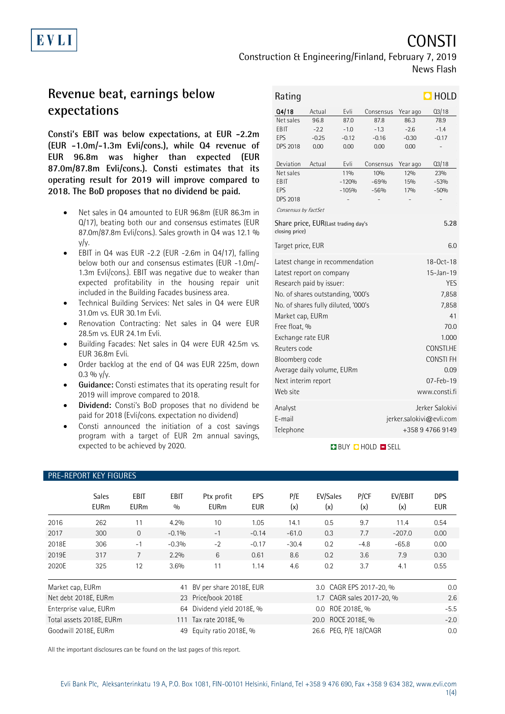CONSTI

# **Revenue beat, earnings below expectations**

EVLI

**Consti's EBIT was below expectations, at EUR -2.2m (EUR -1.0m/-1.3m Evli/cons.), while Q4 revenue of EUR 96.8m was higher than expected (EUR 87.0m/87.8m Evli/cons.). Consti estimates that its operating result for 2019 will improve compared to 2018. The BoD proposes that no dividend be paid.**

- Net sales in Q4 amounted to EUR 96.8m (EUR 86.3m in Q/17), beating both our and consensus estimates (EUR 87.0m/87.8m Evli/cons.). Sales growth in Q4 was 12.1 % y/y.
- EBIT in Q4 was EUR -2.2 (EUR -2.6m in Q4/17), falling below both our and consensus estimates (EUR -1.0m/- 1.3m Evli/cons.). EBIT was negative due to weaker than expected profitability in the housing repair unit included in the Building Facades business area.
- Technical Building Services: Net sales in Q4 were EUR 31.0m vs. EUR 30.1m Evli.
- Renovation Contracting: Net sales in Q4 were EUR 28.5m vs. EUR 24.1m Evli.
- Building Facades: Net sales in Q4 were EUR 42.5m vs. EUR 36.8m Evli.
- Order backlog at the end of Q4 was EUR 225m, down 0.3 %  $y/y$ .
- **Guidance:** Consti estimates that its operating result for 2019 will improve compared to 2018.
- **Dividend:** Consti's BoD proposes that no dividend be paid for 2018 (Evli/cons. expectation no dividend)
- Consti announced the initiation of a cost savings program with a target of EUR 2m annual savings, expected to be achieved by 2020.

| Rating                                                        |         | $\blacksquare$ HOLD |                 |                          |                 |  |
|---------------------------------------------------------------|---------|---------------------|-----------------|--------------------------|-----------------|--|
| Q4/18                                                         | Actual  | Evli                | Consensus       | Year ago                 | Q3/18           |  |
| Net sales                                                     | 96.8    | 87.0                | 87.8            | 86.3                     | 78.9            |  |
| FBIT                                                          | $-2.2$  | $-1.0$              | $-1.3$          | $-2.6$                   | $-1.4$          |  |
| FPS                                                           | $-0.25$ | $-0.12$             | $-0.16$         | $-0.30$                  | $-0.17$         |  |
| <b>DPS 2018</b>                                               | 0.00    | 0.00                | 0.00            | 0.00                     |                 |  |
| Deviation                                                     | Actual  | Evli                | Consensus       | Year ago                 | Q3/18           |  |
| Net sales                                                     |         | 110 <sub>0</sub>    | 10%             | 12%                      | 23%             |  |
| <b>FBIT</b>                                                   |         | $-120%$             | $-69%$          | 15%                      | $-53%$          |  |
| EPS                                                           |         | $-105%$             | $-56%$          | 17%                      | $-50%$          |  |
| <b>DPS 2018</b>                                               |         |                     |                 |                          |                 |  |
| Consensus by FactSet                                          |         |                     |                 |                          |                 |  |
| Share price, EUR(Last trading day's<br>5.28<br>closing price) |         |                     |                 |                          |                 |  |
| Target price, EUR<br>6.0                                      |         |                     |                 |                          |                 |  |
| Latest change in recommendation                               |         |                     | $18 - 0ct - 18$ |                          |                 |  |
| Latest report on company                                      |         |                     | $15 - Jan - 19$ |                          |                 |  |
| Research paid by issuer:                                      |         |                     | <b>YES</b>      |                          |                 |  |
| No. of shares outstanding, '000's                             |         |                     | 7,858           |                          |                 |  |
| No. of shares fully diluted, '000's                           |         |                     |                 | 7,858                    |                 |  |
| Market cap, EURm                                              |         |                     |                 | 41                       |                 |  |
| Free float, %                                                 |         |                     | 70.0            |                          |                 |  |
| Exchange rate EUR                                             |         |                     | 1.000           |                          |                 |  |
| Reuters code                                                  |         |                     | CONSTI.HE       |                          |                 |  |
|                                                               |         |                     |                 |                          |                 |  |
| Bloomberg code                                                |         |                     | <b>CONSTIFH</b> |                          |                 |  |
| Average daily volume, EURm                                    |         |                     | 0.09            |                          |                 |  |
| Next interim report                                           |         |                     | $07 - Feb - 19$ |                          |                 |  |
| Web site                                                      |         |                     | www.consti.fi   |                          |                 |  |
| Analyst                                                       |         |                     |                 |                          | Jerker Salokivi |  |
| F-mail                                                        |         |                     |                 | jerker.salokivi@evli.com |                 |  |
| Telephone<br>+358947669149                                    |         |                     |                 |                          |                 |  |
|                                                               |         |                     |                 |                          |                 |  |

### BUY **D** HOLD **D** SELL

| <b>PRE-REPORT KEY FIGURES</b> |                             |                         |                         |                                                |                          |                           |                    |             |                |                          |
|-------------------------------|-----------------------------|-------------------------|-------------------------|------------------------------------------------|--------------------------|---------------------------|--------------------|-------------|----------------|--------------------------|
|                               | <b>Sales</b><br><b>EURm</b> | EBIT<br><b>EURm</b>     | EBIT<br>0/0             | Ptx profit<br><b>EURm</b>                      | <b>EPS</b><br><b>EUR</b> | P/E<br>(x)                | EV/Sales<br>(x)    | P/CF<br>(x) | EV/EBIT<br>(x) | <b>DPS</b><br><b>EUR</b> |
| 2016                          | 262                         | 11                      | 4.2%                    | 10                                             | 1.05                     | 14.1                      | 0.5                | 9.7         | 11.4           | 0.54                     |
| 2017                          | 300                         | $\Omega$                | $-0.1%$                 | $-1$                                           | $-0.14$                  | $-61.0$                   | 0.3                | 7.7         | $-207.0$       | 0.00                     |
| 2018E                         | 306                         | $-1$                    | $-0.3%$                 | $-2$                                           | $-0.17$                  | $-30.4$                   | 0.2                | $-4.8$      | $-65.8$        | 0.00                     |
| 2019E                         | 317                         | $\overline{7}$          | 2.2%                    | 6                                              | 0.61                     | 8.6                       | 0.2                | 3.6         | 7.9            | 0.30                     |
| 2020E                         | 325                         | 12                      | 3.6%                    | 11                                             | 1.14                     | 4.6                       | 0.2                | 3.7         | 4.1            | 0.55                     |
| Market cap, EURm<br>41        |                             | BV per share 2018E, EUR |                         | 3.0 CAGR EPS 2017-20, %                        |                          |                           | 0.0                |             |                |                          |
| Net debt 2018E, EURm          |                             |                         | 23 Price/book 2018E     |                                                |                          | 1.7 CAGR sales 2017-20, % |                    |             | 2.6            |                          |
| Enterprise value, EURm<br>64  |                             |                         | Dividend yield 2018E, % |                                                |                          | 0.0 ROE 2018E, %          |                    |             | $-5.5$         |                          |
| Total assets 2018E, EURm      |                             |                         |                         | 111 Tax rate 2018E, %                          |                          |                           | 20.0 ROCE 2018E, % |             |                | $-2.0$                   |
| Goodwill 2018E, EURm<br>49    |                             |                         |                         | 26.6 PEG, P/E 18/CAGR<br>Equity ratio 2018E, % |                          |                           |                    |             | 0.0            |                          |

All the important disclosures can be found on the last pages of this report.

1(4)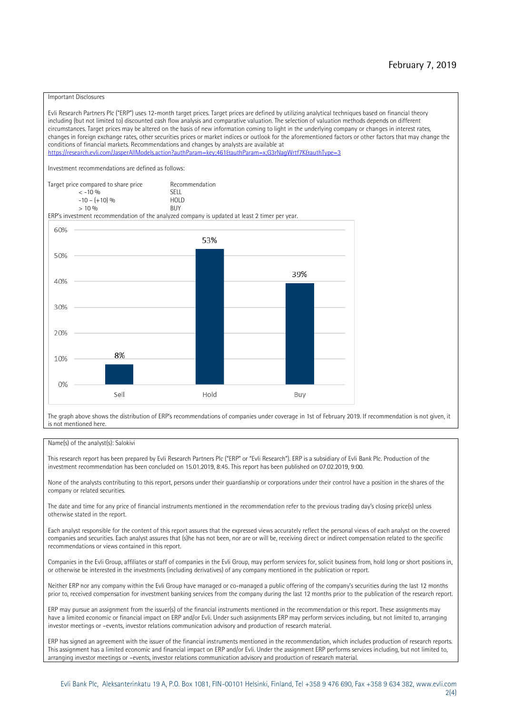#### Important Disclosures

Evli Research Partners Plc ("ERP") uses 12-month target prices. Target prices are defined by utilizing analytical techniques based on financial theory including (but not limited to) discounted cash flow analysis and comparative valuation. The selection of valuation methods depends on different circumstances. Target prices may be altered on the basis of new information coming to light in the underlying company or changes in interest rates, changes in foreign exchange rates, other securities prices or market indices or outlook for the aforementioned factors or other factors that may change the conditions of financial markets. Recommendations and changes by analysts are available at https://research.evli.com/JasperAllModels.action?authParam=key;461&tauthParam=x;G3rNagWrtf7K&tauthType=3 Investment recommendations are defined as follows: Target price compared to share price Recommendation<br>  $\leq$  -10 % < -10 % SELL  $-10 - (+10) \%$  HOL<br>  $> 10 \%$  RIJY  $> 10 \frac{0}{0}$ ERP's investment recommendation of the analyzed company is updated at least 2 timer per year. 60% 53% 50% 39% 40% 30% 20% 8% 10% 0% Sell Hold Buy

The graph above shows the distribution of ERP's recommendations of companies under coverage in 1st of February 2019. If recommendation is not given, it is not mentioned here.

#### Name(s) of the analyst(s): Salokivi

This research report has been prepared by Evli Research Partners Plc ("ERP" or "Evli Research"). ERP is a subsidiary of Evli Bank Plc. Production of the investment recommendation has been concluded on 15.01.2019, 8:45. This report has been published on 07.02.2019, 9:00.

None of the analysts contributing to this report, persons under their guardianship or corporations under their control have a position in the shares of the company or related securities.

The date and time for any price of financial instruments mentioned in the recommendation refer to the previous trading day's closing price(s) unless otherwise stated in the report.

Each analyst responsible for the content of this report assures that the expressed views accurately reflect the personal views of each analyst on the covered companies and securities. Each analyst assures that (s)he has not been, nor are or will be, receiving direct or indirect compensation related to the specific recommendations or views contained in this report.

Companies in the Evli Group, affiliates or staff of companies in the Evli Group, may perform services for, solicit business from, hold long or short positions in, or otherwise be interested in the investments (including derivatives) of any company mentioned in the publication or report.

Neither ERP nor any company within the Evli Group have managed or co-managed a public offering of the company's securities during the last 12 months prior to, received compensation for investment banking services from the company during the last 12 months prior to the publication of the research report.

ERP may pursue an assignment from the issuer(s) of the financial instruments mentioned in the recommendation or this report. These assignments may have a limited economic or financial impact on ERP and/or Evli. Under such assignments ERP may perform services including, but not limited to, arranging investor meetings or –events, investor relations communication advisory and production of research material.

ERP has signed an agreement with the issuer of the financial instruments mentioned in the recommendation, which includes production of research reports. This assignment has a limited economic and financial impact on ERP and/or Evli. Under the assignment ERP performs services including, but not limited to, arranging investor meetings or –events, investor relations communication advisory and production of research material.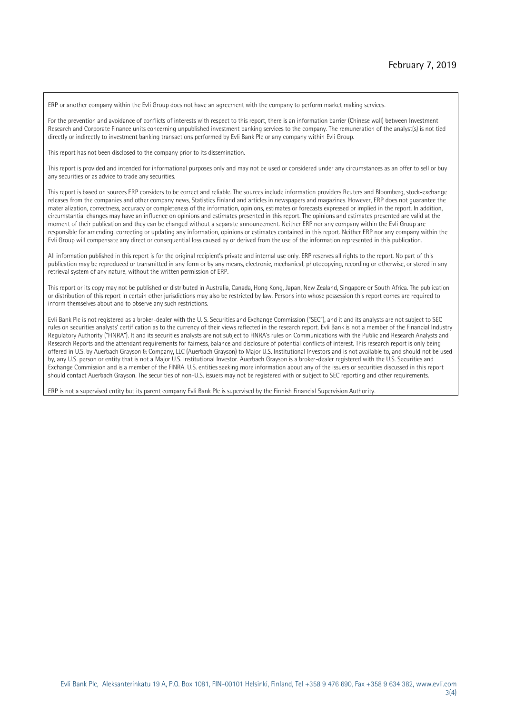ERP or another company within the Evli Group does not have an agreement with the company to perform market making services.

For the prevention and avoidance of conflicts of interests with respect to this report, there is an information barrier (Chinese wall) between Investment Research and Corporate Finance units concerning unpublished investment banking services to the company. The remuneration of the analyst(s) is not tied directly or indirectly to investment banking transactions performed by Evli Bank Plc or any company within Evli Group.

This report has not been disclosed to the company prior to its dissemination.

This report is provided and intended for informational purposes only and may not be used or considered under any circumstances as an offer to sell or buy any securities or as advice to trade any securities.

This report is based on sources ERP considers to be correct and reliable. The sources include information providers Reuters and Bloomberg, stock-exchange releases from the companies and other company news, Statistics Finland and articles in newspapers and magazines. However, ERP does not guarantee the materialization, correctness, accuracy or completeness of the information, opinions, estimates or forecasts expressed or implied in the report. In addition, circumstantial changes may have an influence on opinions and estimates presented in this report. The opinions and estimates presented are valid at the moment of their publication and they can be changed without a separate announcement. Neither ERP nor any company within the Evli Group are responsible for amending, correcting or updating any information, opinions or estimates contained in this report. Neither ERP nor any company within the Evli Group will compensate any direct or consequential loss caused by or derived from the use of the information represented in this publication.

All information published in this report is for the original recipient's private and internal use only. ERP reserves all rights to the report. No part of this publication may be reproduced or transmitted in any form or by any means, electronic, mechanical, photocopying, recording or otherwise, or stored in any retrieval system of any nature, without the written permission of ERP.

This report or its copy may not be published or distributed in Australia, Canada, Hong Kong, Japan, New Zealand, Singapore or South Africa. The publication or distribution of this report in certain other jurisdictions may also be restricted by law. Persons into whose possession this report comes are required to inform themselves about and to observe any such restrictions.

Evli Bank Plc is not registered as a broker-dealer with the U. S. Securities and Exchange Commission ("SEC"), and it and its analysts are not subject to SEC rules on securities analysts' certification as to the currency of their views reflected in the research report. Evli Bank is not a member of the Financial Industry Regulatory Authority ("FINRA"). It and its securities analysts are not subject to FINRA's rules on Communications with the Public and Research Analysts and Research Reports and the attendant requirements for fairness, balance and disclosure of potential conflicts of interest. This research report is only being offered in U.S. by Auerbach Grayson & Company, LLC (Auerbach Grayson) to Major U.S. Institutional Investors and is not available to, and should not be used by, any U.S. person or entity that is not a Major U.S. Institutional Investor. Auerbach Grayson is a broker-dealer registered with the U.S. Securities and Exchange Commission and is a member of the FINRA. U.S. entities seeking more information about any of the issuers or securities discussed in this report should contact Auerbach Grayson. The securities of non-U.S. issuers may not be registered with or subject to SEC reporting and other requirements.

ERP is not a supervised entity but its parent company Evli Bank Plc is supervised by the Finnish Financial Supervision Authority.